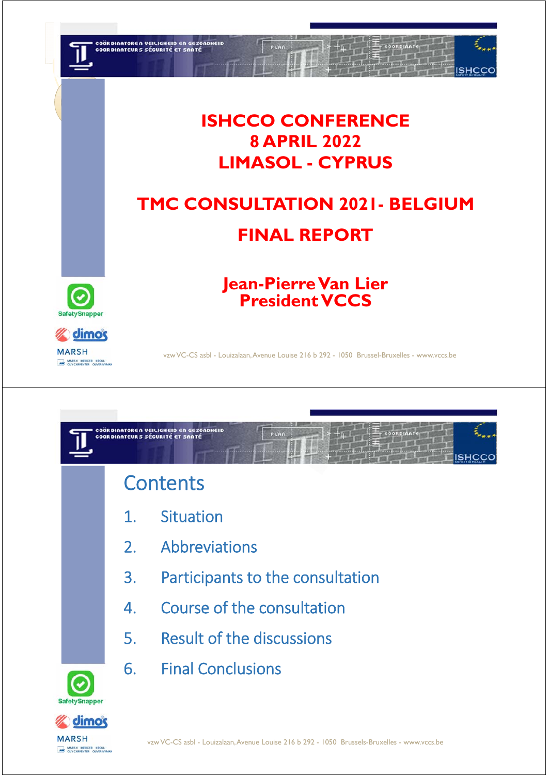

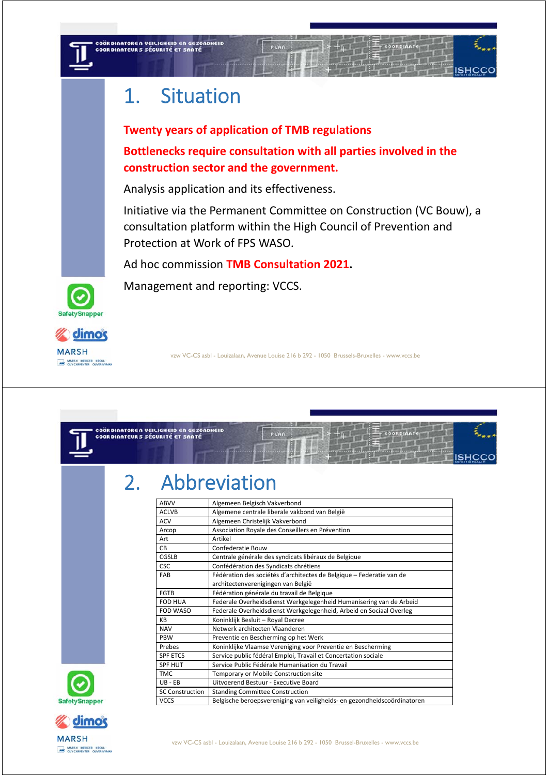

COÖRDINATOREN VEILIGHEID EN GEZONDHEID<br>COORDINATEURS SÉCURITÉ ET SANTÉ

# 1. Situation

**Twenty years of application of TMB regulations Bottlenecks require consultation with all parties involved in the construction sector and the government.** 

Analysis application and its effectiveness.

Initiative via the Permanent Committee on Construction (VC Bouw), a consultation platform within the High Council of Prevention and Protection at Work of FPS WASO.

Ad hoc commission **TMB Consultation 2021.** 

Management and reporting: VCCS.





vzw VC-CS asbl - Louizalaan, Avenue Louise 216 b 292 - 1050 Brussels-Bruxelles - www.vccs.be



# 2. Abbreviation

| ABVV                   | Algemeen Belgisch Vakverbond                                             |
|------------------------|--------------------------------------------------------------------------|
| <b>ACLVB</b>           | Algemene centrale liberale vakbond van België                            |
| <b>ACV</b>             | Algemeen Christelijk Vakverbond                                          |
| Arcop                  | Association Royale des Conseillers en Prévention                         |
| Art                    | Artikel                                                                  |
| <b>CB</b>              | Confederatie Bouw                                                        |
| CGSLB                  | Centrale générale des syndicats libéraux de Belgique                     |
| <b>CSC</b>             | Confédération des Syndicats chrétiens                                    |
| FAB                    | Fédération des sociétés d'architectes de Belgique - Federatie van de     |
|                        | architectenverenigingen van België                                       |
| <b>FGTB</b>            | Fédération générale du travail de Belgique                               |
| <b>FOD HUA</b>         | Federale Overheidsdienst Werkgelegenheid Humanisering van de Arbeid      |
| FOD WASO               | Federale Overheidsdienst Werkgelegenheid, Arbeid en Sociaal Overleg      |
| KB                     | Koninklijk Besluit - Royal Decree                                        |
| <b>NAV</b>             | Netwerk architecten Vlaanderen                                           |
| PBW                    | Preventie en Bescherming op het Werk                                     |
| Prebes                 | Koninklijke Vlaamse Vereniging voor Preventie en Bescherming             |
| <b>SPF ETCS</b>        | Service public fédéral Emploi, Travail et Concertation sociale           |
| <b>SPF HUT</b>         | Service Public Fédérale Humanisation du Travail                          |
| <b>TMC</b>             | Temporary or Mobile Construction site                                    |
| $UB - EB$              | Uitvoerend Bestuur - Executive Board                                     |
| <b>SC Construction</b> | <b>Standing Committee Construction</b>                                   |
| <b>VCCS</b>            | Belgische beroepsvereniging van veiligheids- en gezondheidscoördinatoren |



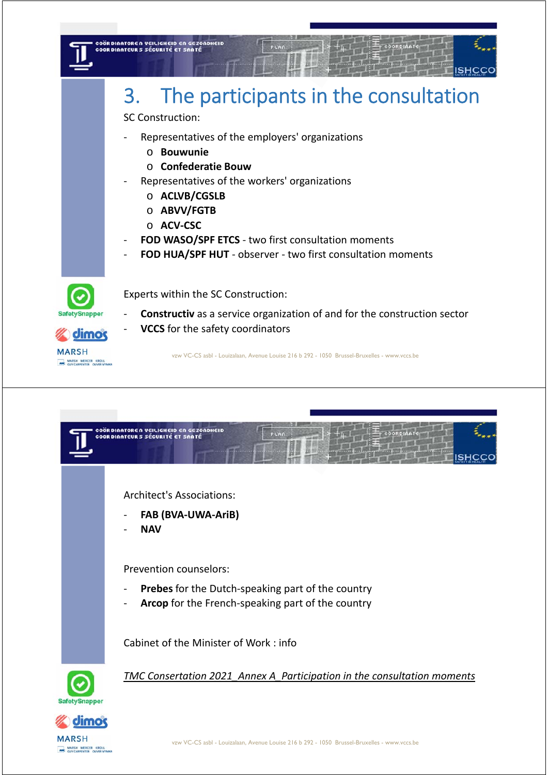



**MARSH** NE MARSH MERCER KROLL

dimo

*TMC Consertation 2021\_Annex A\_Participation in the consultation moments*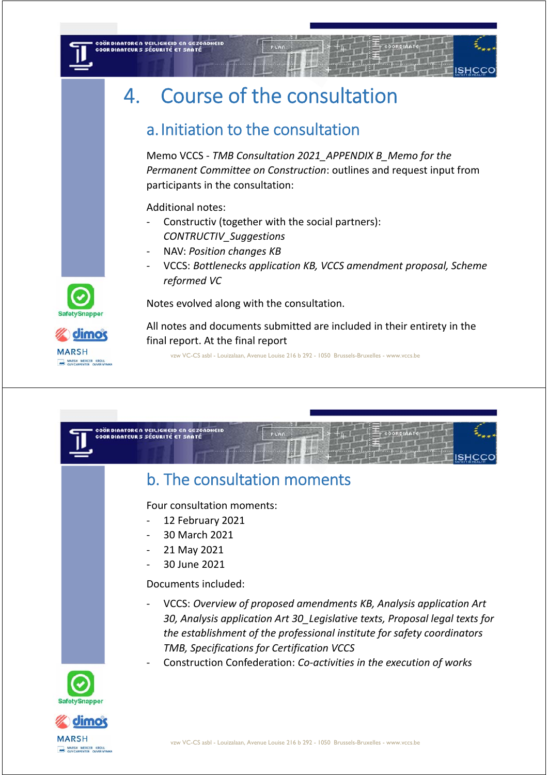# 4. Course of the consultation

## a.Initiation to the consultation

Memo VCCS ‐ *TMB Consultation 2021\_APPENDIX B\_Memo for the Permanent Committee on Construction*: outlines and request input from participants in the consultation:

Additional notes:

COÖRDINATOREN VEILIGHEID EN GEZONDHEID<br>COORDINATEURS SÉCURITÉ ET SANTÉ

- ‐ Constructiv (together with the social partners): *CONTRUCTIV\_Suggestions*
- ‐ NAV: *Position changes KB*
- ‐ VCCS: *Bottlenecks application KB, VCCS amendment proposal, Scheme reformed VC*

Notes evolved along with the consultation.

All notes and documents submitted are included in their entirety in the final report. At the final report





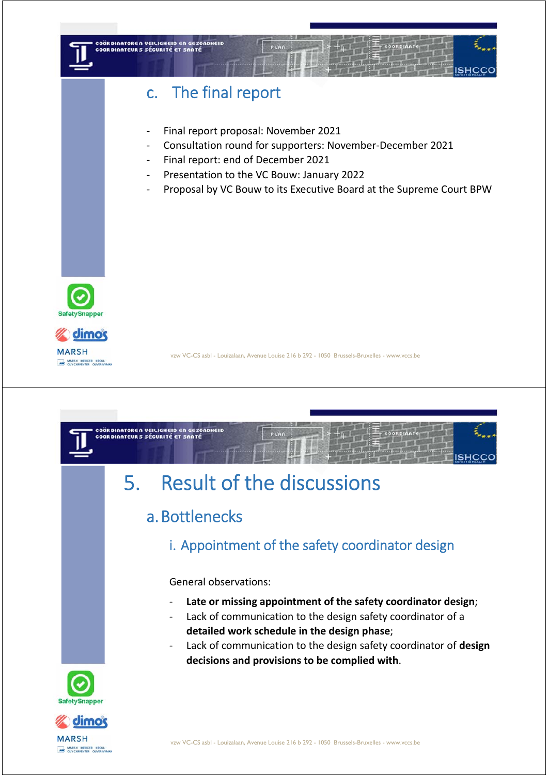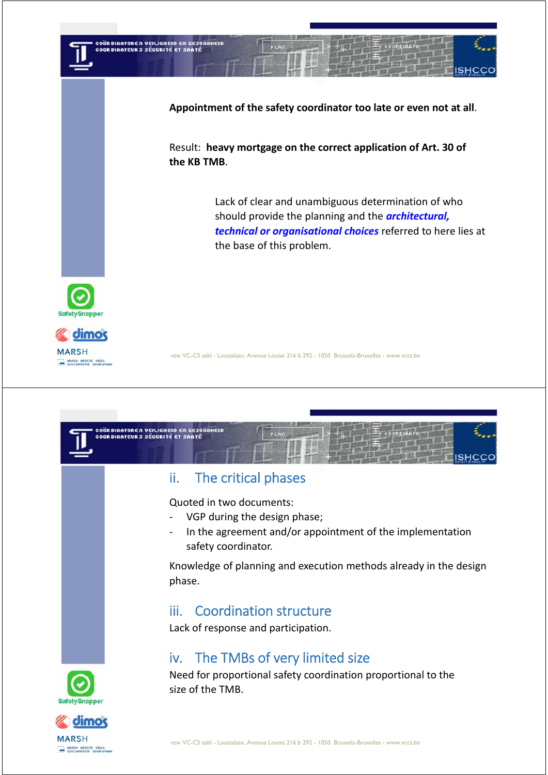

**Appointment of the safety coordinator too late or even not at all**.

Result: **heavy mortgage on the correct application of Art. 30 of the KB TMB**.

> Lack of clear and unambiguous determination of who should provide the planning and the *architectural, technical or organisational choices* referred to here lies at the base of this problem.





MARSH MERCER KROLL

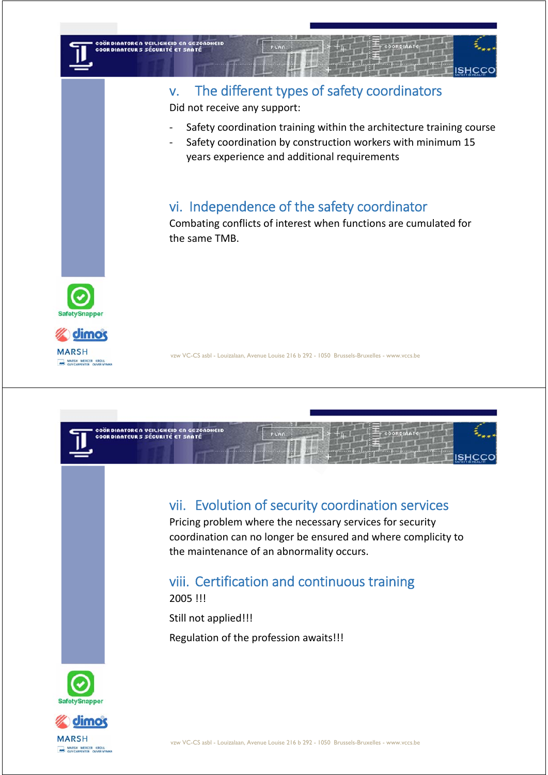

## v. The different types of safety coordinators

Did not receive any support:

- Safety coordination training within the architecture training course
- Safety coordination by construction workers with minimum 15 years experience and additional requirements

## vi. Independence of the safety coordinator

Combating conflicts of interest when functions are cumulated for the same TMB.





vzw VC-CS asbl - Louizalaan, Avenue Louise 216 b 292 - 1050 Brussels-Bruxelles - www.vccs.be



## vii. Evolution of security coordination services

Pricing problem where the necessary services for security coordination can no longer be ensured and where complicity to the maintenance of an abnormality occurs.

## viii. Certification and continuous training

2005 !!!

Still not applied!!!

Regulation of the profession awaits!!!



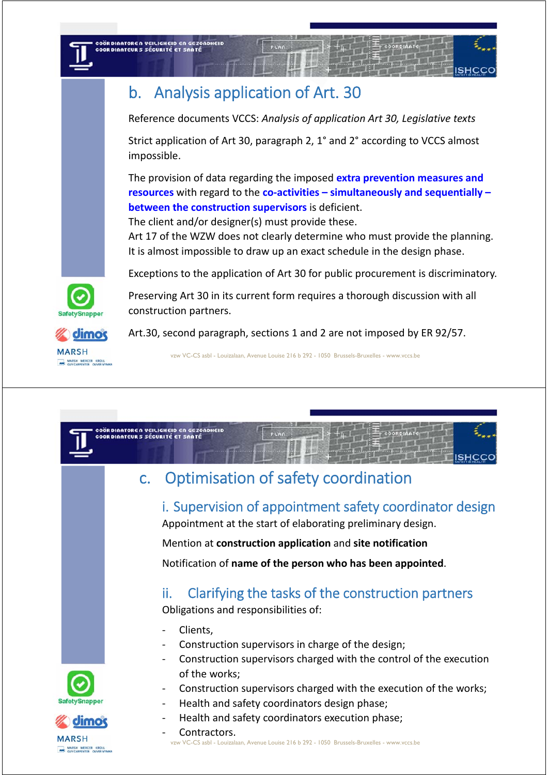## b. Analysis application of Art. 30

Reference documents VCCS: *Analysis of application Art 30, Legislative texts*

Strict application of Art 30, paragraph 2, 1° and 2° according to VCCS almost impossible.

The provision of data regarding the imposed **extra prevention measures and resources** with regard to the **co‐activities – simultaneously and sequentially – between the construction supervisors** is deficient.

The client and/or designer(s) must provide these.

Art 17 of the WZW does not clearly determine who must provide the planning. It is almost impossible to draw up an exact schedule in the design phase.

Exceptions to the application of Art 30 for public procurement is discriminatory.

Preserving Art 30 in its current form requires a thorough discussion with all construction partners.

Art.30, second paragraph, sections 1 and 2 are not imposed by ER 92/57.

vzw VC-CS asbl - Louizalaan, Avenue Louise 216 b 292 - 1050 Brussels-Bruxelles - www.vccs.be



i. Supervision of appointment safety coordinator design Appointment at the start of elaborating preliminary design.

Mention at **construction application** and **site notification**

## Notification of **name of the person who has been appointed**.

## ii. Clarifying the tasks of the construction partners

Obligations and responsibilities of:

‐ Clients,

.<br>COÖRDINATOREN VEILIGHEID EN GEZONDHEID<br>COORDINATEURS SÉCURITÉ ET SANTÉ

- ‐ Construction supervisors in charge of the design;
- ‐ Construction supervisors charged with the control of the execution of the works;
- ‐ Construction supervisors charged with the execution of the works;
- ‐ Health and safety coordinators design phase;
- Health and safety coordinators execution phase;
- vzw VC-CS asbl Louizalaan, Avenue Louise 216 b 292 1050 Brussels-Bruxelles www.vccs.be ‐ Contractors.







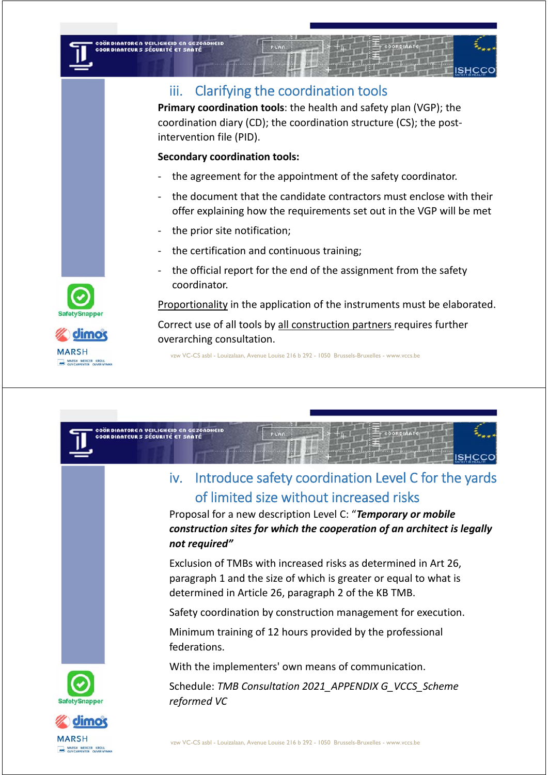## iii. Clarifying the coordination tools

**Primary coordination tools**: the health and safety plan (VGP); the coordination diary (CD); the coordination structure (CS); the post‐ intervention file (PID).

### **Secondary coordination tools:**

COÖRDINATOREN VEILIGHEID EN GEZONDHEID<br>COORDINATEURS SÉCURITÉ ET SANTÉ

- the agreement for the appointment of the safety coordinator.
- the document that the candidate contractors must enclose with their offer explaining how the requirements set out in the VGP will be met
- the prior site notification;
- ‐ the certification and continuous training;
- ‐ the official report for the end of the assignment from the safety coordinator.

Proportionality in the application of the instruments must be elaborated.

Correct use of all tools by all construction partners requires further overarching consultation.

vzw VC-CS asbl - Louizalaan, Avenue Louise 216 b 292 - 1050 Brussels-Bruxelles - www.vccs.be







MARSH MERCER KROLL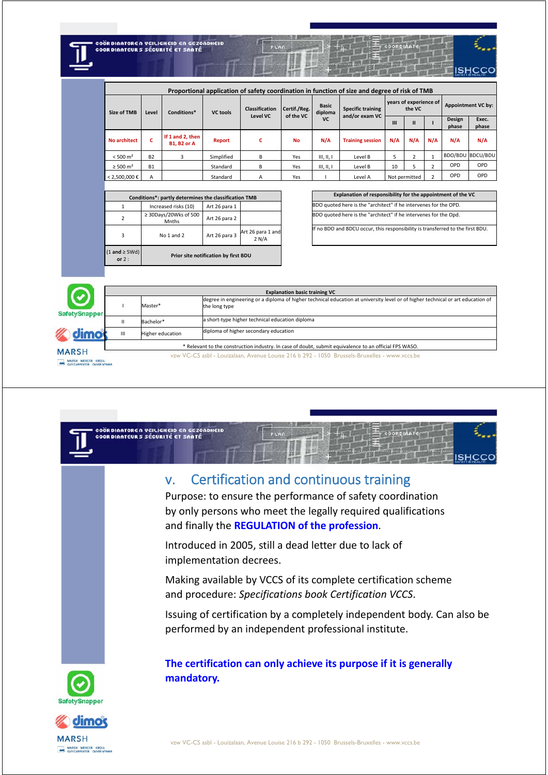| COÖRDINATOREN VEILIGHEID EN GEZONDHEID |
|----------------------------------------|
| <b>COORDINATEURS SÉCURITÉ ET SANTÉ</b> |
|                                        |
|                                        |

|                                                                                               |           |                                        |                 |                                   |                           |                                      | the state of the control of the con-       |                                  |               |                         |                    | <b>LONGHEALTH</b> |
|-----------------------------------------------------------------------------------------------|-----------|----------------------------------------|-----------------|-----------------------------------|---------------------------|--------------------------------------|--------------------------------------------|----------------------------------|---------------|-------------------------|--------------------|-------------------|
|                                                                                               |           |                                        |                 |                                   |                           |                                      |                                            |                                  |               |                         |                    |                   |
| Proportional application of safety coordination in function of size and degree of risk of TMB |           |                                        |                 |                                   |                           |                                      |                                            |                                  |               |                         |                    |                   |
| Size of TMB                                                                                   | Level     | Conditions*                            | <b>VC</b> tools | <b>Classification</b><br>Level VC | Certif./Reg.<br>of the VC | <b>Basic</b><br>diploma<br><b>VC</b> | <b>Specific training</b><br>and/or exam VC | years of experience of<br>the VC |               |                         | Appointment VC by: |                   |
|                                                                                               |           |                                        |                 |                                   |                           |                                      |                                            | $\mathbf{m}$                     | $\mathbf{u}$  |                         | Design<br>phase    | Exec.<br>phase    |
| <b>No architect</b>                                                                           | c         | If 1 and 2, then<br><b>B1. B2 or A</b> | Report          | c                                 | <b>No</b>                 | N/A                                  | <b>Training session</b>                    | N/A                              | N/A           | N/A                     | N/A                | N/A               |
| $< 500 \text{ m}^2$                                                                           | <b>B2</b> | 3                                      | Simplified      | B                                 | Yes                       | III, II, I                           | Level B                                    | 5                                |               | $\mathbf{1}$            |                    | BDO/BDU BDCU/BDU  |
| $\geq$ 500 m <sup>2</sup>                                                                     | <b>B1</b> |                                        | Standard        | B                                 | Yes                       | III, II, I                           | Level B                                    | 10                               | 5.            | $\overline{\mathbf{c}}$ | OPD                | OPD               |
| $< 2.500.000 \in$                                                                             | A         |                                        | Standard        | A                                 | Yes                       |                                      | Level A                                    |                                  | Not permitted | $\overline{\mathbf{c}}$ | OPD                | <b>OPD</b>        |

|                                 | Conditions*: partly determines the classification TMB |               |                            | Explanation of responsibility for the appointment of                |
|---------------------------------|-------------------------------------------------------|---------------|----------------------------|---------------------------------------------------------------------|
|                                 | Increased risks (10)                                  | Art 26 para 1 |                            | BDO quoted here is the "architect" if he intervenes for the OPD.    |
|                                 | $\geq$ 30Days/20Wks of 500<br>Mnths                   | Art 26 para 2 |                            | BDO quoted here is the "architect" if he intervenes for the Opd.    |
|                                 | Art 26 para 3<br>No 1 and 2                           |               | Art 26 para 1 and<br>2 N/A | If no BDO and BDCU occur, this responsibility is transferred to the |
| $(1$ and $\geq$ 5Wd)<br>or $2:$ | Prior site notification by first BDU                  |               |                            |                                                                     |

| Conditions*: partly determines the classification TMB |                                     |               |                   | Explanation of responsibility for the appointment of the VC                    |
|-------------------------------------------------------|-------------------------------------|---------------|-------------------|--------------------------------------------------------------------------------|
|                                                       | Increased risks (10)                | Art 26 para 1 |                   | BDO quoted here is the "architect" if he intervenes for the OPD.               |
|                                                       | $\geq$ 30Days/20Wks of 500<br>Mnths | Art 26 para 2 |                   | BDO quoted here is the "architect" if he intervenes for the Opd.               |
|                                                       | No 1 and 2                          | Art 26 para 3 | Art 26 para 1 and | If no BDO and BDCU occur, this responsibility is transferred to the first BDU. |

|                                    | <b>Explanation basic training VC</b>                                                                   |                  |                                                                                                                                                  |  |  |  |  |  |
|------------------------------------|--------------------------------------------------------------------------------------------------------|------------------|--------------------------------------------------------------------------------------------------------------------------------------------------|--|--|--|--|--|
| <b>SafetySnapper</b>               |                                                                                                        | Master*          | degree in engineering or a diploma of higher technical education at university level or of higher technical or art education of<br>the long type |  |  |  |  |  |
|                                    |                                                                                                        | Bachelor*        | a short-type higher technical education diploma                                                                                                  |  |  |  |  |  |
| <b>Zomno</b>                       | III                                                                                                    | Higher education | diploma of higher secondary education                                                                                                            |  |  |  |  |  |
| <b>MARSH</b><br>MARSH MERCER KROLL | * Relevant to the construction industry. In case of doubt, submit equivalence to an official FPS WASO. |                  |                                                                                                                                                  |  |  |  |  |  |
|                                    | vzw VC-CS asbl - Louizalaan, Avenue Louise 216 b 292 - 1050 Brussels-Bruxelles - www.vccs.be           |                  |                                                                                                                                                  |  |  |  |  |  |



MARSH MERCER KROLL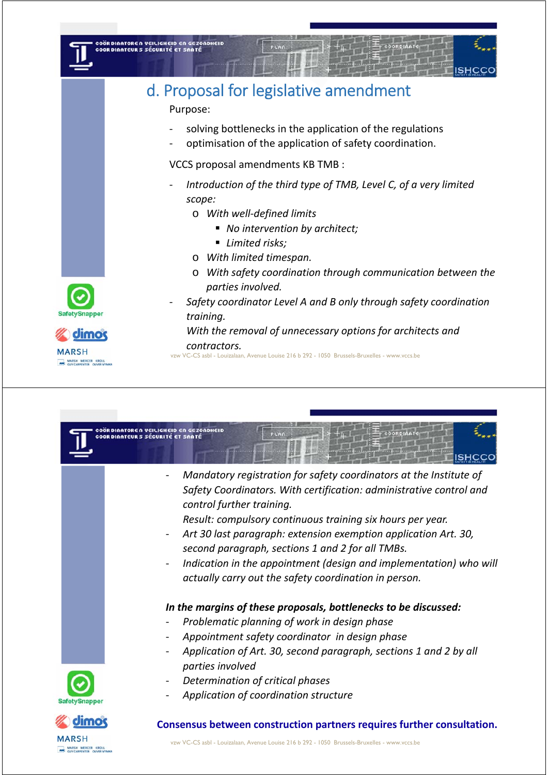

## d. Proposal for legislative amendment

Purpose:

- solving bottlenecks in the application of the regulations
- ‐ optimisation of the application of safety coordination.

VCCS proposal amendments KB TMB :

- ‐ *Introduction of the third type of TMB, Level C, of a very limited scope:*
	- o *With well‐defined limits*
		- *No intervention by architect;*
		- *Limited risks;*
	- o *With limited timespan.*
	- o *With safety coordination through communication between the parties involved.*
- ‐ *Safety coordinator Level A and B only through safety coordination training.*

*With the removal of unnecessary options for architects and contractors.*

vzw VC-CS asbl - Louizalaan, Avenue Louise 216 b 292 - 1050 Brussels-Bruxelles - www.vccs.be





**dimo** 



ARSH MERCER KROLL

**MARSH** 

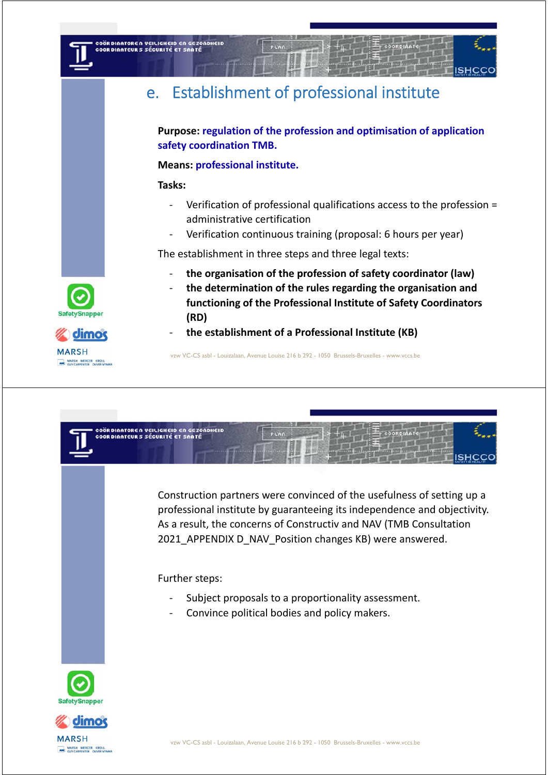

## e. Establishment of professional institute

**Purpose: regulation of the profession and optimisation of application safety coordination TMB.** 

### **Means: professional institute.**

### **Tasks:**

- ‐ Verification of professional qualifications access to the profession = administrative certification
- ‐ Verification continuous training (proposal: 6 hours per year)

The establishment in three steps and three legal texts:

- ‐ **the organisation of the profession of safety coordinator (law)**
- ‐ **the determination of the rules regarding the organisation and functioning of the Professional Institute of Safety Coordinators (RD)**
- ‐ **the establishment of a Professional Institute (KB)**









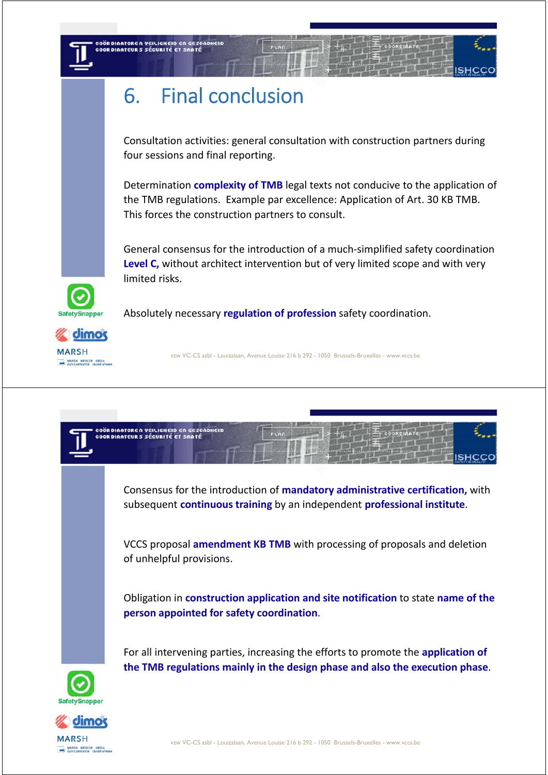COÖRDINATOREN VEILIGHEID EN GEZONDHEID<br>COORDINATEURS SÉCURITÉ ET SANTÉ

Consultation activities: general consultation with construction partners during four sessions and final reporting.

Determination **complexity of TMB** legal texts not conducive to the application of the TMB regulations. Example par excellence: Application of Art. 30 KB TMB. This forces the construction partners to consult.

General consensus for the introduction of a much‐simplified safety coordination **Level C,** without architect intervention but of very limited scope and with very limited risks.

Absolutely necessary **regulation of profession** safety coordination.



MARSH MERCER KROLL

**SafetySnapper**